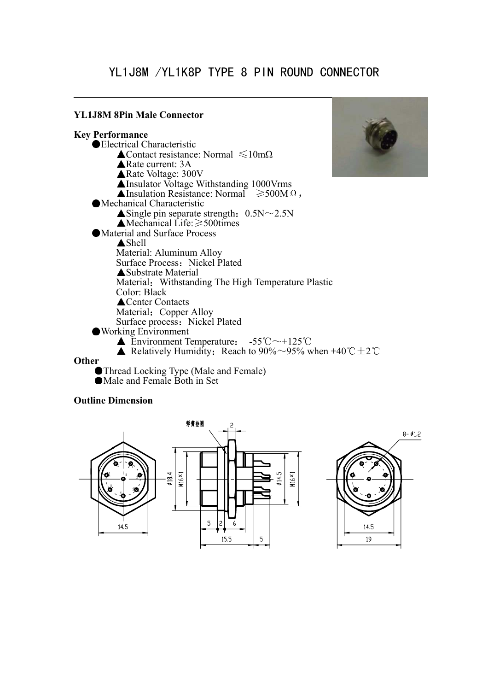# YL1J8M /YL1K8P TYPE 8 PIN ROUND CONNECTOR

#### **YL1J8M 8Pin Male Connector**

**Key Performance**  Electrical Characteristic  $\triangle$ Contact resistance: Normal  $\leq 10$ mΩ **▲Rate current: 3A ▲Rate Voltage: 300V** Insulator Voltage Withstanding 1000Vrms Alnsulation Resistance: Normal  $\geq 500M \Omega$ , Mechanical Characteristic  $\triangle$  Single pin separate strength: 0.5N  $\sim$  2.5N  $\triangle$ Mechanical Life:  $\geq$  500times Material and Surface Process **A** Shell Material: Aluminum Alloy Surface Process: Nickel Plated Substrate Material Material: Withstanding The High Temperature Plastic Color: Black **▲Center Contacts** Material: Copper Alloy Surface process: Nickel Plated Working Environment **Environment Temperature:**  $-55^{\circ}\text{C} \sim +125^{\circ}\text{C}$ Relatively Humidity: Reach to 90%~95% when +40 °C  $\pm$  2 °C **Other**  Thread Locking Type (Male and Female)

Male and Female Both in Set

#### **Outline Dimension**